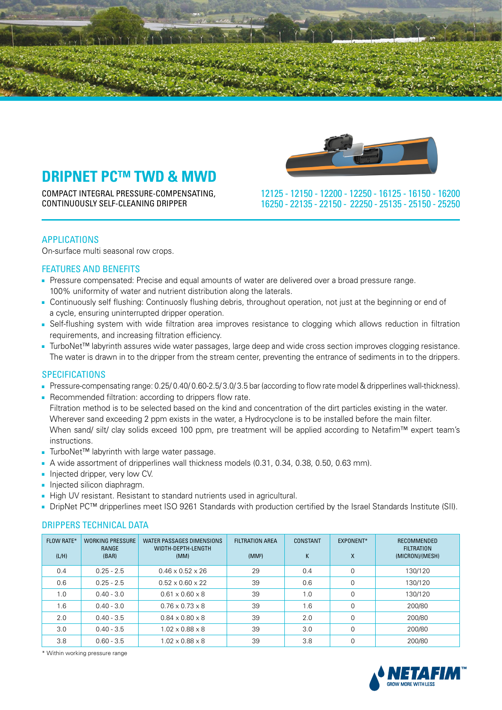

COMPACT INTEGRAL PRESSURE-COMPENSATING, CONTINUOUSLY SELF-CLEANING DRIPPER



 16200 - 16150 - 16125 - 12250 - 12200 - 12150 - 12125 25250 - 25150 - 25135 - 22250 - 22150 - 22135 - 16250

# APPLICATIONS

On-surface multi seasonal row crops.

# **FEATURES AND BENEFITS**

- Pressure compensated: Precise and equal amounts of water are delivered over a broad pressure range. 100% uniformity of water and nutrient distribution along the laterals.
- Continuously self flushing: Continuosly flushing debris, throughout operation, not just at the beginning or end of a cycle, ensuring uninterrupted dripper operation.
- Self-flushing system with wide filtration area improves resistance to clogging which allows reduction in filtration requirements, and increasing filtration efficiency.
- TurboNet<sup>™</sup> labyrinth assures wide water passages, large deep and wide cross section improves clogging resistance. The water is drawn in to the dripper from the stream center, preventing the entrance of sediments in to the drippers.

# **SPECIFICATIONS**

- Pressure-compensating range: 0.25/ 0.40/ 0.60-2.5/ 3.0/ 3.5 bar (according to flow rate model & dripperlines wall-thickness).
- Recommended filtration: according to drippers flow rate. Filtration method is to be selected based on the kind and concentration of the dirt particles existing in the water. Wherever sand exceeding 2 ppm exists in the water, a Hydrocyclone is to be installed before the main filter. When sand/ silt/ clay solids exceed 100 ppm, pre treatment will be applied according to Netafim™ expert team's .instructions
- TurboNet™ labyrinth with large water passage.
- A wide assortment of dripperlines wall thickness models (0.31, 0.34, 0.38, 0.50, 0.63 mm).
- Injected dripper, very low CV.
- Injected silicon diaphragm.
- High UV resistant. Resistant to standard nutrients used in agricultural.
- DripNet PC<sup>™</sup> dripperlines meet ISO 9261 Standards with production certified by the Israel Standards Institute (SII).

### DRIPPERS TECHNICAL DATA

| <b>FLOW RATE*</b><br>(L/H) | <b>WORKING PRESSURE</b><br>RANGE<br>(BAR) | WATER PASSAGES DIMENSIONS<br>WIDTH-DEPTH-LENGTH<br>(MM) | <b>FILTRATION AREA</b><br>(MM <sup>2</sup> ) | CONSTANT<br>K | EXPONENT*<br>X | RECOMMENDED<br><b>FILTRATION</b><br>(MICRON)/(MESH) |
|----------------------------|-------------------------------------------|---------------------------------------------------------|----------------------------------------------|---------------|----------------|-----------------------------------------------------|
| 0.4                        | $0.25 - 2.5$                              | $0.46 \times 0.52 \times 26$                            | 29                                           | 0.4           | 0              | 130/120                                             |
| 0.6                        | $0.25 - 2.5$                              | $0.52 \times 0.60 \times 22$                            | 39                                           | 0.6           | 0              | 130/120                                             |
| 1.0                        | $0.40 - 3.0$                              | $0.61 \times 0.60 \times 8$                             | 39                                           | 1.0           | $\Omega$       | 130/120                                             |
| 1.6                        | $0.40 - 3.0$                              | $0.76 \times 0.73 \times 8$                             | 39                                           | 1.6           | $\Omega$       | 200/80                                              |
| 2.0                        | $0.40 - 3.5$                              | $0.84 \times 0.80 \times 8$                             | 39                                           | 2.0           | $\Omega$       | 200/80                                              |
| 3.0                        | $0.40 - 3.5$                              | $1.02 \times 0.88 \times 8$                             | 39                                           | 3.0           | 0              | 200/80                                              |
| 3.8                        | $0.60 - 3.5$                              | $1.02 \times 0.88 \times 8$                             | 39                                           | 3.8           | 0              | 200/80                                              |

\* Within working pressure range